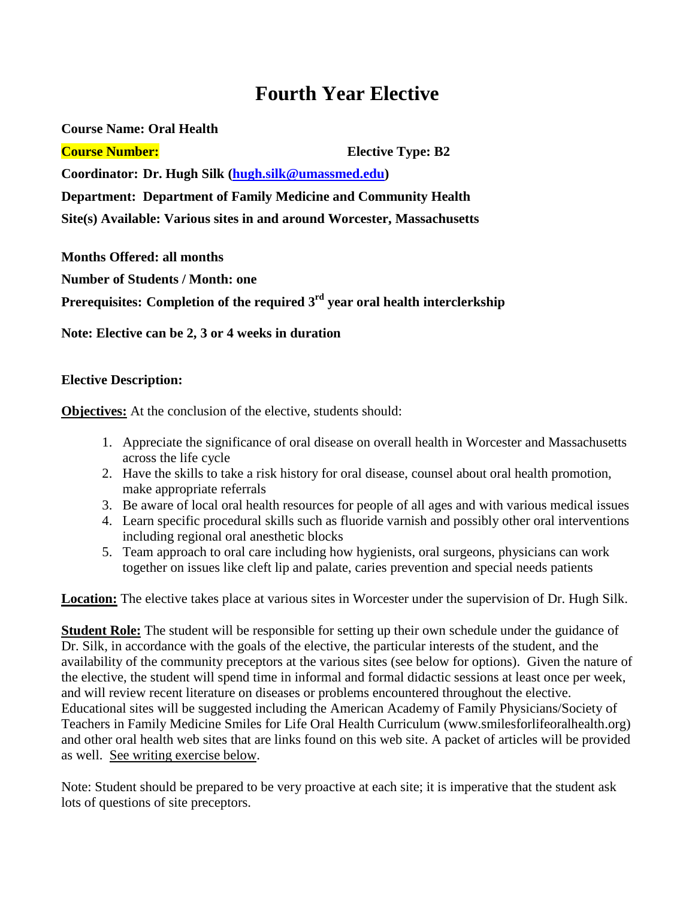# **Fourth Year Elective**

**Course Name: Oral Health Course Number: Elective Type: B2 Coordinator: Dr. Hugh Silk [\(hugh.silk@umassmed.edu\)](mailto:hugh.silk@umassmed.edu) Department: Department of Family Medicine and Community Health Site(s) Available: Various sites in and around Worcester, Massachusetts**

**Months Offered: all months Number of Students / Month: one Prerequisites:** Completion of the required 3<sup>rd</sup> year oral health interclerkship

**Note: Elective can be 2, 3 or 4 weeks in duration**

## **Elective Description:**

**Objectives:** At the conclusion of the elective, students should:

- 1. Appreciate the significance of oral disease on overall health in Worcester and Massachusetts across the life cycle
- 2. Have the skills to take a risk history for oral disease, counsel about oral health promotion, make appropriate referrals
- 3. Be aware of local oral health resources for people of all ages and with various medical issues
- 4. Learn specific procedural skills such as fluoride varnish and possibly other oral interventions including regional oral anesthetic blocks
- 5. Team approach to oral care including how hygienists, oral surgeons, physicians can work together on issues like cleft lip and palate, caries prevention and special needs patients

**Location:** The elective takes place at various sites in Worcester under the supervision of Dr. Hugh Silk.

**Student Role:** The student will be responsible for setting up their own schedule under the guidance of Dr. Silk, in accordance with the goals of the elective, the particular interests of the student, and the availability of the community preceptors at the various sites (see below for options). Given the nature of the elective, the student will spend time in informal and formal didactic sessions at least once per week, and will review recent literature on diseases or problems encountered throughout the elective. Educational sites will be suggested including the American Academy of Family Physicians/Society of Teachers in Family Medicine Smiles for Life Oral Health Curriculum (www.smilesforlifeoralhealth.org) and other oral health web sites that are links found on this web site. A packet of articles will be provided as well. See writing exercise below.

Note: Student should be prepared to be very proactive at each site; it is imperative that the student ask lots of questions of site preceptors.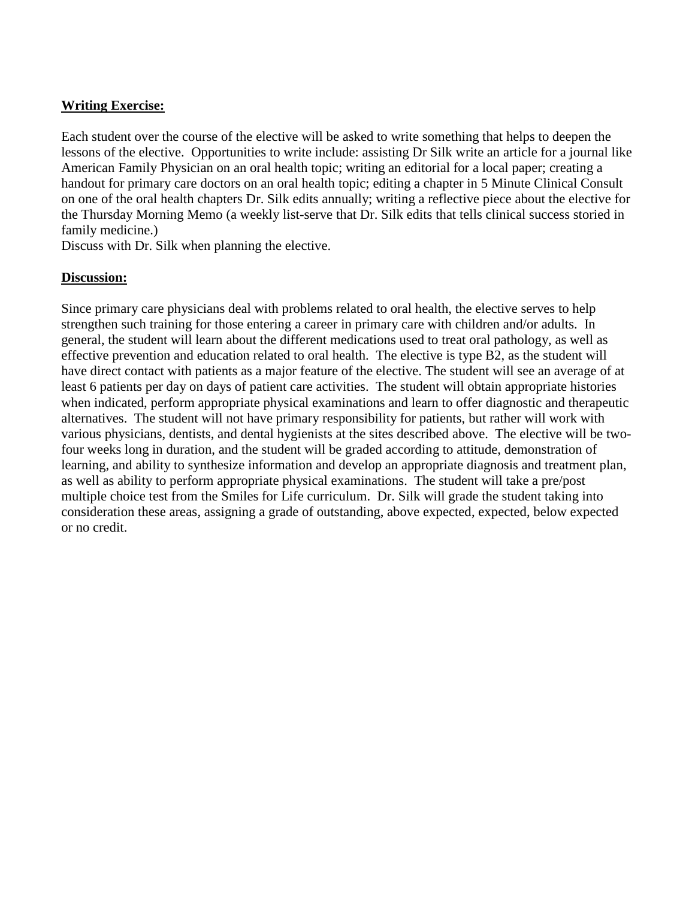## **Writing Exercise:**

Each student over the course of the elective will be asked to write something that helps to deepen the lessons of the elective. Opportunities to write include: assisting Dr Silk write an article for a journal like American Family Physician on an oral health topic; writing an editorial for a local paper; creating a handout for primary care doctors on an oral health topic; editing a chapter in 5 Minute Clinical Consult on one of the oral health chapters Dr. Silk edits annually; writing a reflective piece about the elective for the Thursday Morning Memo (a weekly list-serve that Dr. Silk edits that tells clinical success storied in family medicine.)

Discuss with Dr. Silk when planning the elective.

#### **Discussion:**

Since primary care physicians deal with problems related to oral health, the elective serves to help strengthen such training for those entering a career in primary care with children and/or adults. In general, the student will learn about the different medications used to treat oral pathology, as well as effective prevention and education related to oral health. The elective is type B2, as the student will have direct contact with patients as a major feature of the elective. The student will see an average of at least 6 patients per day on days of patient care activities. The student will obtain appropriate histories when indicated, perform appropriate physical examinations and learn to offer diagnostic and therapeutic alternatives. The student will not have primary responsibility for patients, but rather will work with various physicians, dentists, and dental hygienists at the sites described above. The elective will be twofour weeks long in duration, and the student will be graded according to attitude, demonstration of learning, and ability to synthesize information and develop an appropriate diagnosis and treatment plan, as well as ability to perform appropriate physical examinations. The student will take a pre/post multiple choice test from the Smiles for Life curriculum. Dr. Silk will grade the student taking into consideration these areas, assigning a grade of outstanding, above expected, expected, below expected or no credit.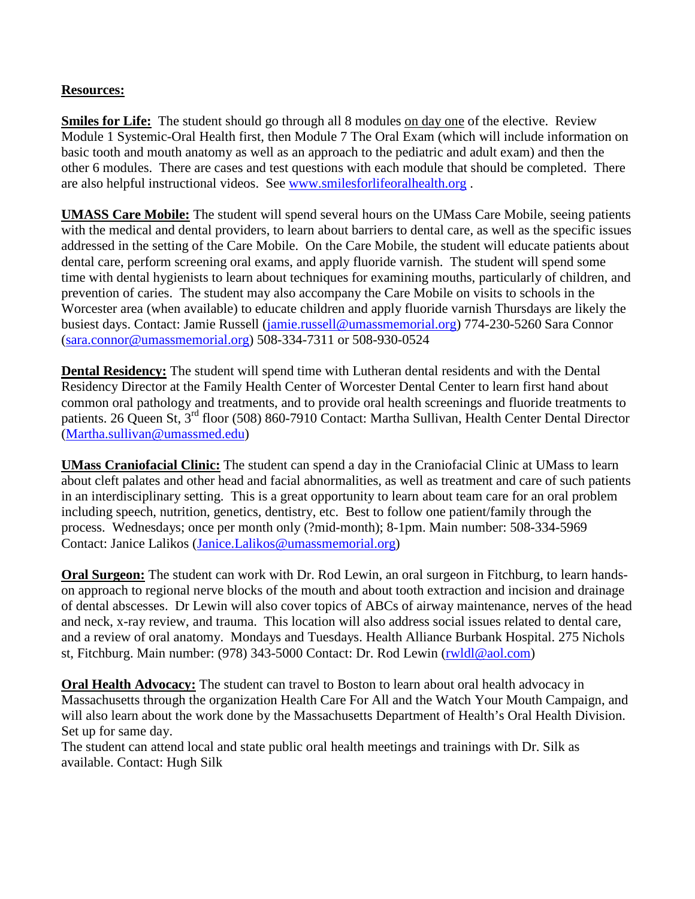## **Resources:**

**Smiles for Life:** The student should go through all 8 modules on day one of the elective. Review Module 1 Systemic-Oral Health first, then Module 7 The Oral Exam (which will include information on basic tooth and mouth anatomy as well as an approach to the pediatric and adult exam) and then the other 6 modules. There are cases and test questions with each module that should be completed. There are also helpful instructional videos. See [www.smilesforlifeoralhealth.org](http://www.smilesforlifeoralhealth.org/) .

**UMASS Care Mobile:** The student will spend several hours on the UMass Care Mobile, seeing patients with the medical and dental providers, to learn about barriers to dental care, as well as the specific issues addressed in the setting of the Care Mobile. On the Care Mobile, the student will educate patients about dental care, perform screening oral exams, and apply fluoride varnish. The student will spend some time with dental hygienists to learn about techniques for examining mouths, particularly of children, and prevention of caries. The student may also accompany the Care Mobile on visits to schools in the Worcester area (when available) to educate children and apply fluoride varnish Thursdays are likely the busiest days. Contact: Jamie Russell [\(jamie.russell@umassmemorial.org\)](mailto:jamie.russell@umassmemorial.org) 774-230-5260 Sara Connor [\(sara.connor@umassmemorial.org\)](mailto:sara.connor@umassmemorial.org) 508-334-7311 or 508-930-0524

**Dental Residency:** The student will spend time with Lutheran dental residents and with the Dental Residency Director at the Family Health Center of Worcester Dental Center to learn first hand about common oral pathology and treatments, and to provide oral health screenings and fluoride treatments to patients. 26 Queen St, 3rd floor (508) 860-7910 Contact: Martha Sullivan, Health Center Dental Director [\(Martha.sullivan@umassmed.edu\)](mailto:Martha.sullivan@umassmed.edu)

**UMass Craniofacial Clinic:** The student can spend a day in the Craniofacial Clinic at UMass to learn about cleft palates and other head and facial abnormalities, as well as treatment and care of such patients in an interdisciplinary setting. This is a great opportunity to learn about team care for an oral problem including speech, nutrition, genetics, dentistry, etc. Best to follow one patient/family through the process. Wednesdays; once per month only (?mid-month); 8-1pm. Main number: 508-334-5969 Contact: Janice Lalikos [\(Janice.Lalikos@umassmemorial.org\)](mailto:Janice.Lalikos@umassmemorial.org)

**Oral Surgeon:** The student can work with Dr. Rod Lewin, an oral surgeon in Fitchburg, to learn handson approach to regional nerve blocks of the mouth and about tooth extraction and incision and drainage of dental abscesses. Dr Lewin will also cover topics of ABCs of airway maintenance, nerves of the head and neck, x-ray review, and trauma. This location will also address social issues related to dental care, and a review of oral anatomy. Mondays and Tuesdays. Health Alliance Burbank Hospital. 275 Nichols st, Fitchburg. Main number: (978) 343-5000 Contact: Dr. Rod Lewin [\(rwldl@aol.com\)](mailto:rwldl@aol.com)

**Oral Health Advocacy:** The student can travel to Boston to learn about oral health advocacy in Massachusetts through the organization Health Care For All and the Watch Your Mouth Campaign, and will also learn about the work done by the Massachusetts Department of Health's Oral Health Division. Set up for same day.

The student can attend local and state public oral health meetings and trainings with Dr. Silk as available. Contact: Hugh Silk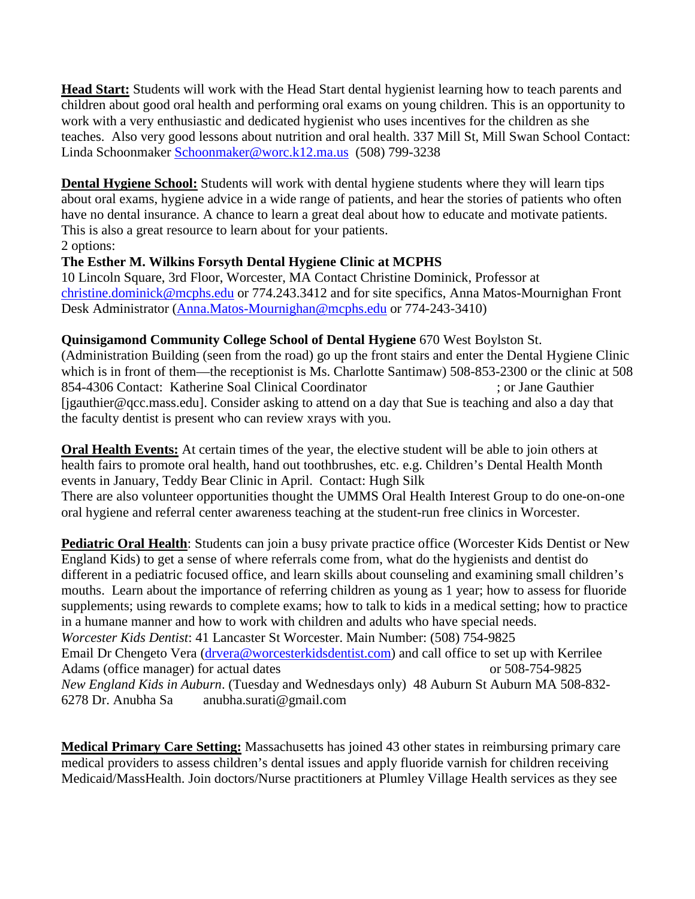**Head Start:** Students will work with the Head Start dental hygienist learning how to teach parents and children about good oral health and performing oral exams on young children. This is an opportunity to work with a very enthusiastic and dedicated hygienist who uses incentives for the children as she teaches. Also very good lessons about nutrition and oral health. 337 Mill St, Mill Swan School Contact: Linda Schoonmaker [Schoonmaker@worc.k12.ma.us](mailto:Schoonmaker@worc.k12.ma.us) (508) 799-3238

**Dental Hygiene School:** Students will work with dental hygiene students where they will learn tips about oral exams, hygiene advice in a wide range of patients, and hear the stories of patients who often have no dental insurance. A chance to learn a great deal about how to educate and motivate patients. This is also a great resource to learn about for your patients. 2 options:

## **The Esther M. Wilkins Forsyth Dental Hygiene Clinic at MCPHS**

10 Lincoln Square, 3rd Floor, Worcester, MA Contact Christine Dominick, Professor at [christine.dominick@mcphs.edu](mailto:christine.dominick@mcphs.edu) or 774.243.3412 and for site specifics, Anna Matos-Mournighan Front Desk Administrator [\(Anna.Matos-Mournighan@mcphs.edu](mailto:Anna.Matos-Mournighan@mcphs.edu) or 774-243-3410)

## **Quinsigamond Community College School of Dental Hygiene** 670 West Boylston St.

(Administration Building (seen from the road) go up the front stairs and enter the Dental Hygiene Clinic which is in front of them—the receptionist is Ms. Charlotte Santimaw) 508-853-2300 or the clinic at 508 854-4306 Contact: Katherine Soal [Clinical Coordinator](https://mail.umassmed.edu/owa/?ae=Item&t=IPM.Note&a=New&to=drollo%40qcc.mass.edu&nm=Donna+Rollo) ; or [Jane Gauthier](https://mail.umassmed.edu/owa/?ae=Item&t=IPM.Note&a=New&to=jgauthier%40qcc.mass.edu&nm=Jane+Gauthier)  [\[jgauthier@qcc.mass.edu\].](https://mail.umassmed.edu/owa/?ae=Item&t=IPM.Note&a=New&to=jgauthier%40qcc.mass.edu&nm=Jane+Gauthier) Consider asking to attend on a day that Sue is teaching and also a day that the faculty dentist is present who can review xrays with you.

**Oral Health Events:** At certain times of the year, the elective student will be able to join others at health fairs to promote oral health, hand out toothbrushes, etc. e.g. Children's Dental Health Month events in January, Teddy Bear Clinic in April. Contact: Hugh Silk There are also volunteer opportunities thought the UMMS Oral Health Interest Group to do one-on-one oral hygiene and referral center awareness teaching at the student-run free clinics in Worcester.

**Pediatric Oral Health**: Students can join a busy private practice office (Worcester Kids Dentist or New England Kids) to get a sense of where referrals come from, what do the hygienists and dentist do different in a pediatric focused office, and learn skills about counseling and examining small children's mouths. Learn about the importance of referring children as young as 1 year; how to assess for fluoride supplements; using rewards to complete exams; how to talk to kids in a medical setting; how to practice in a humane manner and how to work with children and adults who have special needs. *Worcester Kids Dentist*: 41 Lancaster St Worcester. Main Number: (508) 754-9825 Email Dr Chengeto Vera [\(drvera@worcesterkidsdentist.com\)](mailto:drvera@worcesterkidsdentist.com) and call office to set up with Kerrilee Adams (office manager) for actual dates or 508-754-9825 *New England Kids in Auburn*. (Tuesday and Wednesdays only) 48 Auburn St Auburn MA 508-832- 6278 Dr. Anubha Sa anubha.surati@gmail.com

**Medical Primary Care Setting:** Massachusetts has joined 43 other states in reimbursing primary care medical providers to assess children's dental issues and apply fluoride varnish for children receiving Medicaid/MassHealth. Join doctors/Nurse practitioners at Plumley Village Health services as they see